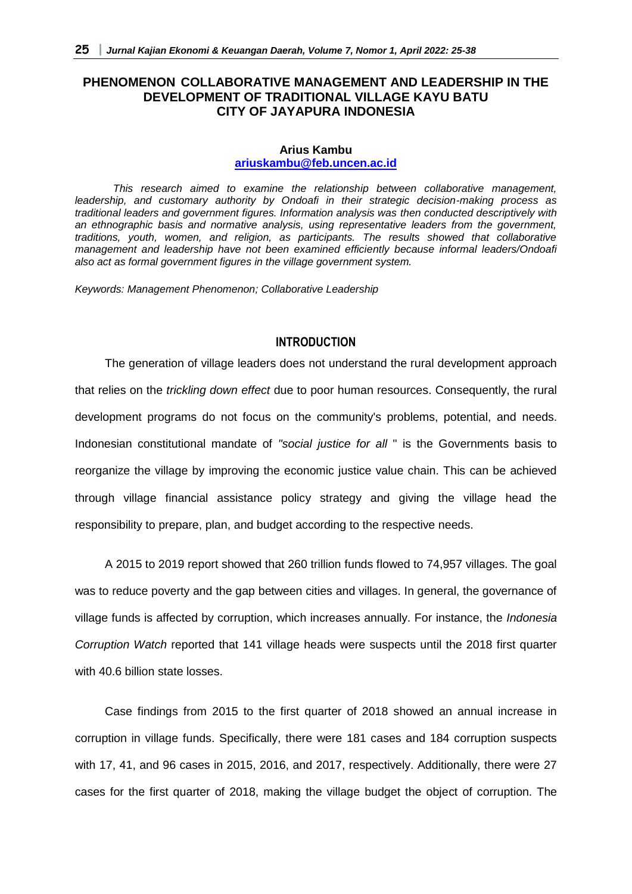## **PHENOMENON COLLABORATIVE MANAGEMENT AND LEADERSHIP IN THE DEVELOPMENT OF TRADITIONAL VILLAGE KAYU BATU CITY OF JAYAPURA INDONESIA**

#### **Arius Kambu [ariuskambu@feb.uncen.ac.id](mailto:ariuskambu@feb.uncen.ac.id)**

*This research aimed to examine the relationship between collaborative management, leadership, and customary authority by Ondoafi in their strategic decision-making process as traditional leaders and government figures. Information analysis was then conducted descriptively with an ethnographic basis and normative analysis, using representative leaders from the government, traditions, youth, women, and religion, as participants. The results showed that collaborative management and leadership have not been examined efficiently because informal leaders/Ondoafi also act as formal government figures in the village government system.* 

*Keywords: Management Phenomenon; Collaborative Leadership*

### **INTRODUCTION**

The generation of village leaders does not understand the rural development approach that relies on the *trickling down effect* due to poor human resources. Consequently, the rural development programs do not focus on the community's problems, potential, and needs. Indonesian constitutional mandate of *"social justice for all* " is the Governments basis to reorganize the village by improving the economic justice value chain. This can be achieved through village financial assistance policy strategy and giving the village head the responsibility to prepare, plan, and budget according to the respective needs.

A 2015 to 2019 report showed that 260 trillion funds flowed to 74,957 villages. The goal was to reduce poverty and the gap between cities and villages. In general, the governance of village funds is affected by corruption, which increases annually. For instance, the *Indonesia Corruption Watch* reported that 141 village heads were suspects until the 2018 first quarter with 40.6 billion state losses.

Case findings from 2015 to the first quarter of 2018 showed an annual increase in corruption in village funds. Specifically, there were 181 cases and 184 corruption suspects with 17, 41, and 96 cases in 2015, 2016, and 2017, respectively. Additionally, there were 27 cases for the first quarter of 2018, making the village budget the object of corruption. The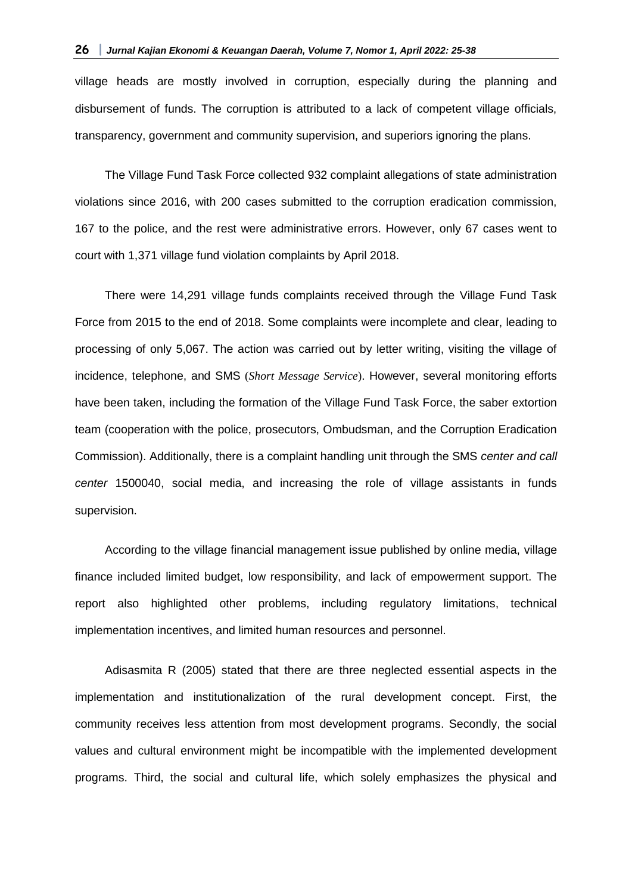village heads are mostly involved in corruption, especially during the planning and disbursement of funds. The corruption is attributed to a lack of competent village officials, transparency, government and community supervision, and superiors ignoring the plans.

The Village Fund Task Force collected 932 complaint allegations of state administration violations since 2016, with 200 cases submitted to the corruption eradication commission, 167 to the police, and the rest were administrative errors. However, only 67 cases went to court with 1,371 village fund violation complaints by April 2018.

There were 14,291 village funds complaints received through the Village Fund Task Force from 2015 to the end of 2018. Some complaints were incomplete and clear, leading to processing of only 5,067. The action was carried out by letter writing, visiting the village of incidence, telephone, and SMS (*Short Message Service*). However, several monitoring efforts have been taken, including the formation of the Village Fund Task Force, the saber extortion team (cooperation with the police, prosecutors, Ombudsman, and the Corruption Eradication Commission). Additionally, there is a complaint handling unit through the SMS *center and call center* 1500040, social media, and increasing the role of village assistants in funds supervision.

According to the village financial management issue published by online media, village finance included limited budget, low responsibility, and lack of empowerment support. The report also highlighted other problems, including regulatory limitations, technical implementation incentives, and limited human resources and personnel.

Adisasmita R (2005) stated that there are three neglected essential aspects in the implementation and institutionalization of the rural development concept. First, the community receives less attention from most development programs. Secondly, the social values and cultural environment might be incompatible with the implemented development programs. Third, the social and cultural life, which solely emphasizes the physical and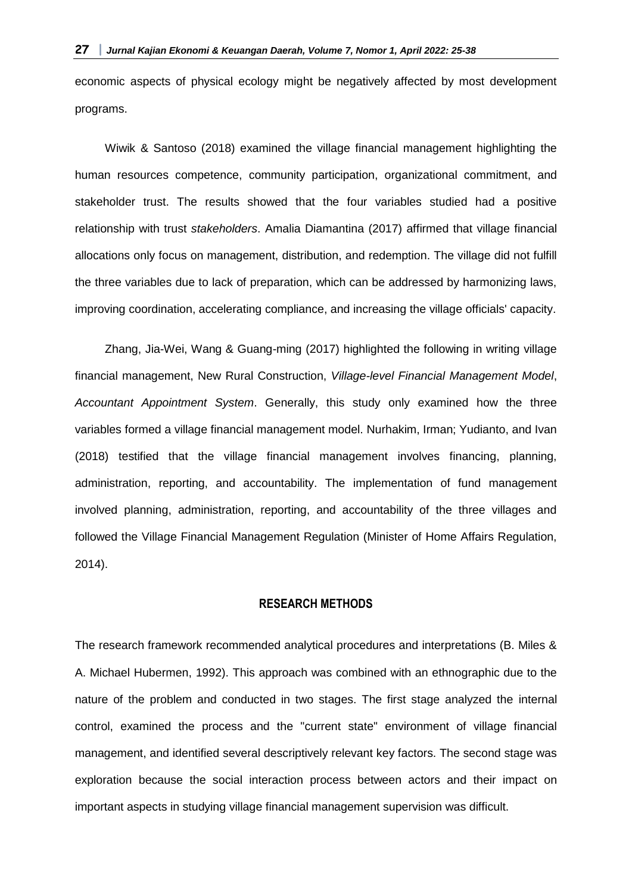economic aspects of physical ecology might be negatively affected by most development programs.

Wiwik & Santoso (2018) examined the village financial management highlighting the human resources competence, community participation, organizational commitment, and stakeholder trust. The results showed that the four variables studied had a positive relationship with trust *stakeholders*. Amalia Diamantina (2017) affirmed that village financial allocations only focus on management, distribution, and redemption. The village did not fulfill the three variables due to lack of preparation, which can be addressed by harmonizing laws, improving coordination, accelerating compliance, and increasing the village officials' capacity.

Zhang, Jia-Wei, Wang & Guang-ming (2017) highlighted the following in writing village financial management, New Rural Construction, *Village-level Financial Management Model*, *Accountant Appointment System*. Generally, this study only examined how the three variables formed a village financial management model. Nurhakim, Irman; Yudianto, and Ivan (2018) testified that the village financial management involves financing, planning, administration, reporting, and accountability. The implementation of fund management involved planning, administration, reporting, and accountability of the three villages and followed the Village Financial Management Regulation (Minister of Home Affairs Regulation, 2014).

### **RESEARCH METHODS**

The research framework recommended analytical procedures and interpretations (B. Miles & A. Michael Hubermen, 1992). This approach was combined with an ethnographic due to the nature of the problem and conducted in two stages. The first stage analyzed the internal control, examined the process and the "current state" environment of village financial management, and identified several descriptively relevant key factors. The second stage was exploration because the social interaction process between actors and their impact on important aspects in studying village financial management supervision was difficult.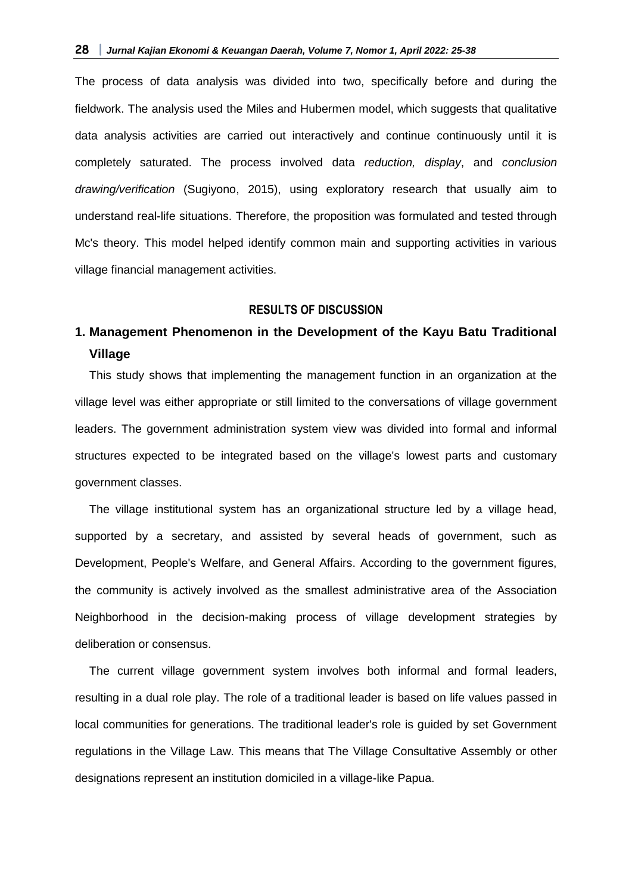The process of data analysis was divided into two, specifically before and during the fieldwork. The analysis used the Miles and Hubermen model, which suggests that qualitative data analysis activities are carried out interactively and continue continuously until it is completely saturated. The process involved data *reduction, display*, and *conclusion drawing/verification* (Sugiyono, 2015), using exploratory research that usually aim to understand real-life situations. Therefore, the proposition was formulated and tested through Mc's theory. This model helped identify common main and supporting activities in various village financial management activities.

### **RESULTS OF DISCUSSION**

# **1. Management Phenomenon in the Development of the Kayu Batu Traditional Village**

This study shows that implementing the management function in an organization at the village level was either appropriate or still limited to the conversations of village government leaders. The government administration system view was divided into formal and informal structures expected to be integrated based on the village's lowest parts and customary government classes.

The village institutional system has an organizational structure led by a village head, supported by a secretary, and assisted by several heads of government, such as Development, People's Welfare, and General Affairs. According to the government figures, the community is actively involved as the smallest administrative area of the Association Neighborhood in the decision-making process of village development strategies by deliberation or consensus.

The current village government system involves both informal and formal leaders, resulting in a dual role play. The role of a traditional leader is based on life values passed in local communities for generations. The traditional leader's role is guided by set Government regulations in the Village Law. This means that The Village Consultative Assembly or other designations represent an institution domiciled in a village-like Papua.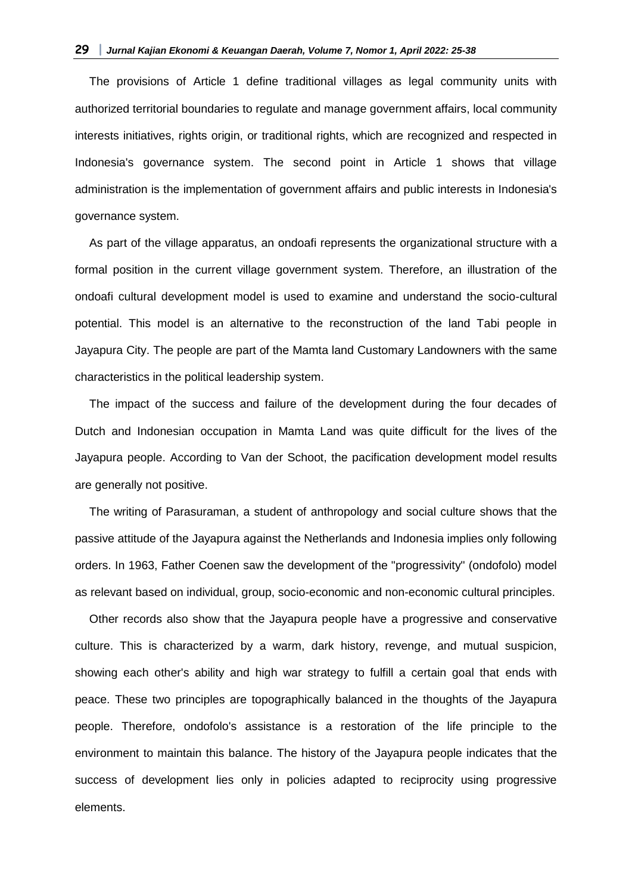The provisions of Article 1 define traditional villages as legal community units with authorized territorial boundaries to regulate and manage government affairs, local community interests initiatives, rights origin, or traditional rights, which are recognized and respected in Indonesia's governance system. The second point in Article 1 shows that village administration is the implementation of government affairs and public interests in Indonesia's governance system.

As part of the village apparatus, an ondoafi represents the organizational structure with a formal position in the current village government system. Therefore, an illustration of the ondoafi cultural development model is used to examine and understand the socio-cultural potential. This model is an alternative to the reconstruction of the land Tabi people in Jayapura City. The people are part of the Mamta land Customary Landowners with the same characteristics in the political leadership system.

The impact of the success and failure of the development during the four decades of Dutch and Indonesian occupation in Mamta Land was quite difficult for the lives of the Jayapura people. According to Van der Schoot, the pacification development model results are generally not positive.

The writing of Parasuraman, a student of anthropology and social culture shows that the passive attitude of the Jayapura against the Netherlands and Indonesia implies only following orders. In 1963, Father Coenen saw the development of the "progressivity" (ondofolo) model as relevant based on individual, group, socio-economic and non-economic cultural principles.

Other records also show that the Jayapura people have a progressive and conservative culture. This is characterized by a warm, dark history, revenge, and mutual suspicion, showing each other's ability and high war strategy to fulfill a certain goal that ends with peace. These two principles are topographically balanced in the thoughts of the Jayapura people. Therefore, ondofolo's assistance is a restoration of the life principle to the environment to maintain this balance. The history of the Jayapura people indicates that the success of development lies only in policies adapted to reciprocity using progressive elements.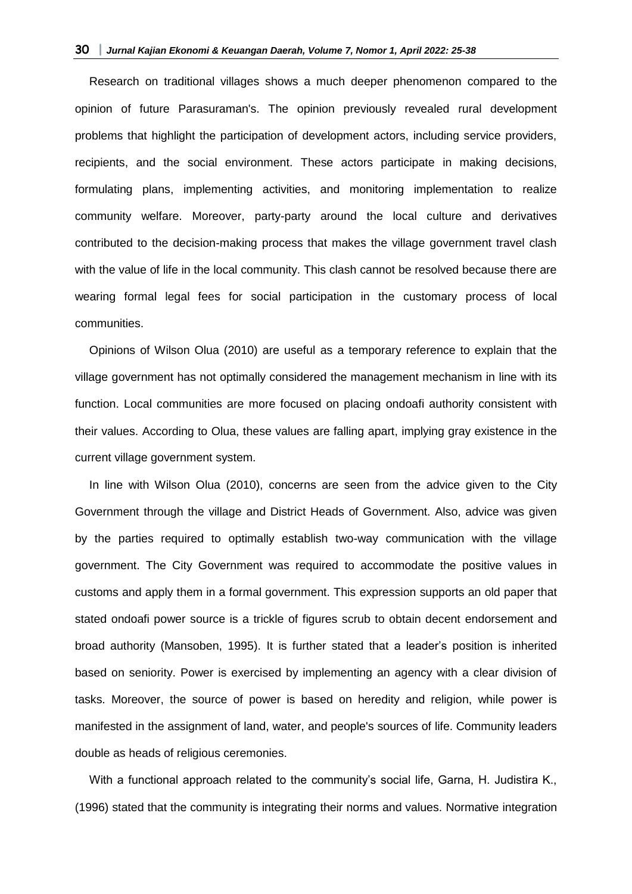Research on traditional villages shows a much deeper phenomenon compared to the opinion of future Parasuraman's. The opinion previously revealed rural development problems that highlight the participation of development actors, including service providers, recipients, and the social environment. These actors participate in making decisions, formulating plans, implementing activities, and monitoring implementation to realize community welfare. Moreover, party-party around the local culture and derivatives contributed to the decision-making process that makes the village government travel clash with the value of life in the local community. This clash cannot be resolved because there are wearing formal legal fees for social participation in the customary process of local communities.

Opinions of Wilson Olua (2010) are useful as a temporary reference to explain that the village government has not optimally considered the management mechanism in line with its function. Local communities are more focused on placing ondoafi authority consistent with their values. According to Olua, these values are falling apart, implying gray existence in the current village government system.

In line with Wilson Olua (2010), concerns are seen from the advice given to the City Government through the village and District Heads of Government. Also, advice was given by the parties required to optimally establish two-way communication with the village government. The City Government was required to accommodate the positive values in customs and apply them in a formal government. This expression supports an old paper that stated ondoafi power source is a trickle of figures scrub to obtain decent endorsement and broad authority (Mansoben, 1995). It is further stated that a leader's position is inherited based on seniority. Power is exercised by implementing an agency with a clear division of tasks. Moreover, the source of power is based on heredity and religion, while power is manifested in the assignment of land, water, and people's sources of life. Community leaders double as heads of religious ceremonies.

With a functional approach related to the community's social life, Garna, H. Judistira K., (1996) stated that the community is integrating their norms and values. Normative integration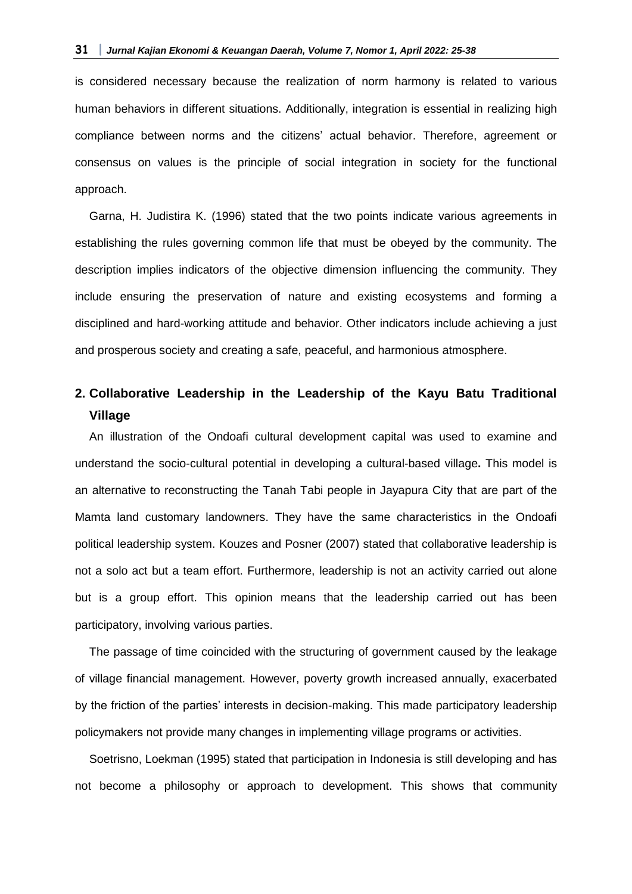is considered necessary because the realization of norm harmony is related to various human behaviors in different situations. Additionally, integration is essential in realizing high compliance between norms and the citizens' actual behavior. Therefore, agreement or consensus on values is the principle of social integration in society for the functional approach.

Garna, H. Judistira K. (1996) stated that the two points indicate various agreements in establishing the rules governing common life that must be obeyed by the community. The description implies indicators of the objective dimension influencing the community. They include ensuring the preservation of nature and existing ecosystems and forming a disciplined and hard-working attitude and behavior. Other indicators include achieving a just and prosperous society and creating a safe, peaceful, and harmonious atmosphere.

# **2. Collaborative Leadership in the Leadership of the Kayu Batu Traditional Village**

An illustration of the Ondoafi cultural development capital was used to examine and understand the socio-cultural potential in developing a cultural-based village**.** This model is an alternative to reconstructing the Tanah Tabi people in Jayapura City that are part of the Mamta land customary landowners. They have the same characteristics in the Ondoafi political leadership system. Kouzes and Posner (2007) stated that collaborative leadership is not a solo act but a team effort. Furthermore, leadership is not an activity carried out alone but is a group effort. This opinion means that the leadership carried out has been participatory, involving various parties.

The passage of time coincided with the structuring of government caused by the leakage of village financial management. However, poverty growth increased annually, exacerbated by the friction of the parties' interests in decision-making. This made participatory leadership policymakers not provide many changes in implementing village programs or activities.

Soetrisno, Loekman (1995) stated that participation in Indonesia is still developing and has not become a philosophy or approach to development. This shows that community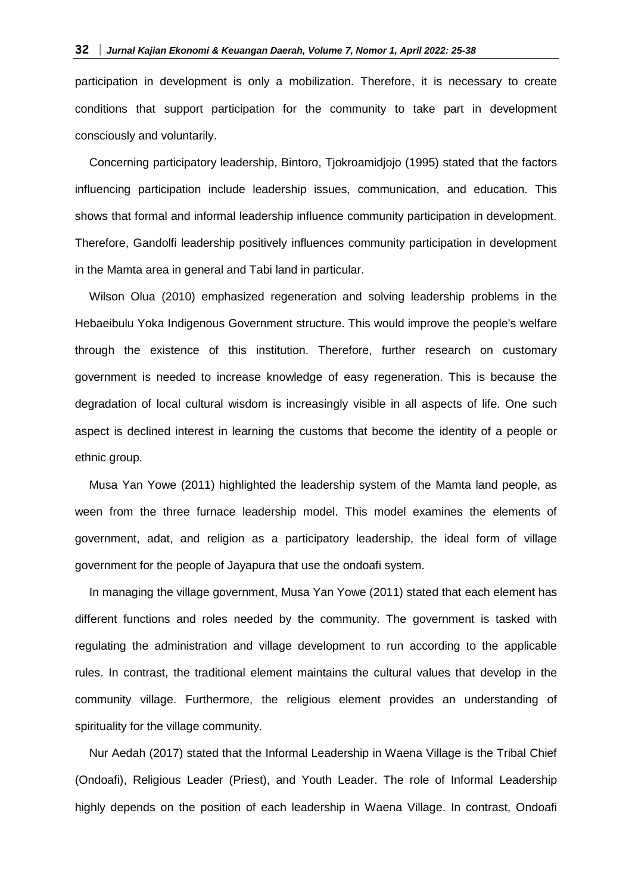participation in development is only a mobilization. Therefore, it is necessary to create conditions that support participation for the community to take part in development consciously and voluntarily.

Concerning participatory leadership, Bintoro, Tjokroamidjojo (1995) stated that the factors influencing participation include leadership issues, communication, and education. This shows that formal and informal leadership influence community participation in development. Therefore, Gandolfi leadership positively influences community participation in development in the Mamta area in general and Tabi land in particular.

Wilson Olua (2010) emphasized regeneration and solving leadership problems in the Hebaeibulu Yoka Indigenous Government structure. This would improve the people's welfare through the existence of this institution. Therefore, further research on customary government is needed to increase knowledge of easy regeneration. This is because the degradation of local cultural wisdom is increasingly visible in all aspects of life. One such aspect is declined interest in learning the customs that become the identity of a people or ethnic group.

Musa Yan Yowe (2011) highlighted the leadership system of the Mamta land people, as ween from the three furnace leadership model. This model examines the elements of government, adat, and religion as a participatory leadership, the ideal form of village government for the people of Jayapura that use the ondoafi system.

In managing the village government, Musa Yan Yowe (2011) stated that each element has different functions and roles needed by the community. The government is tasked with regulating the administration and village development to run according to the applicable rules. In contrast, the traditional element maintains the cultural values that develop in the community village. Furthermore, the religious element provides an understanding of spirituality for the village community.

Nur Aedah (2017) stated that the Informal Leadership in Waena Village is the Tribal Chief (Ondoafi), Religious Leader (Priest), and Youth Leader. The role of Informal Leadership highly depends on the position of each leadership in Waena Village. In contrast, Ondoafi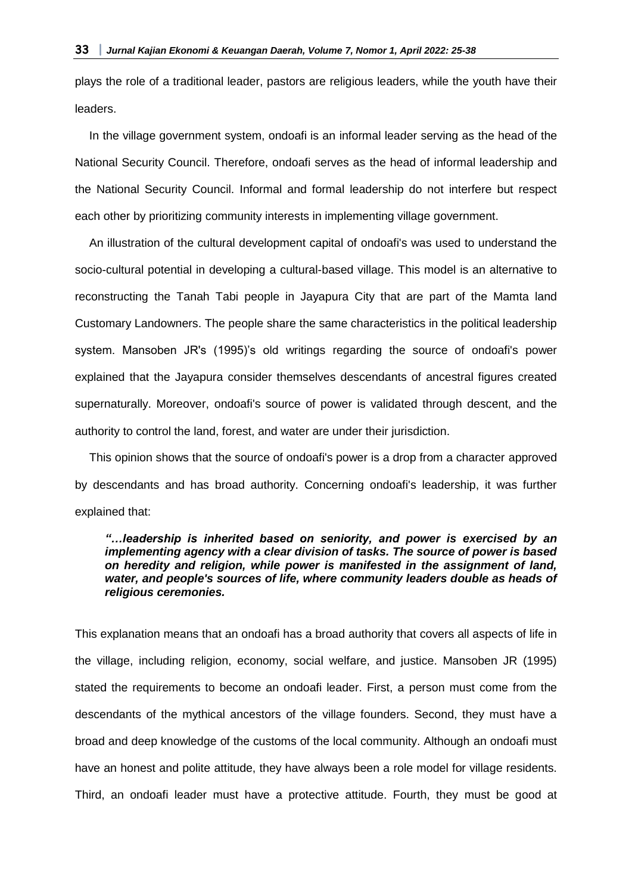plays the role of a traditional leader, pastors are religious leaders, while the youth have their leaders.

In the village government system, ondoafi is an informal leader serving as the head of the National Security Council. Therefore, ondoafi serves as the head of informal leadership and the National Security Council. Informal and formal leadership do not interfere but respect each other by prioritizing community interests in implementing village government.

An illustration of the cultural development capital of ondoafi's was used to understand the socio-cultural potential in developing a cultural-based village. This model is an alternative to reconstructing the Tanah Tabi people in Jayapura City that are part of the Mamta land Customary Landowners. The people share the same characteristics in the political leadership system. Mansoben JR's (1995)'s old writings regarding the source of ondoafi's power explained that the Jayapura consider themselves descendants of ancestral figures created supernaturally. Moreover, ondoafi's source of power is validated through descent, and the authority to control the land, forest, and water are under their jurisdiction.

This opinion shows that the source of ondoafi's power is a drop from a character approved by descendants and has broad authority. Concerning ondoafi's leadership, it was further explained that:

### *"…leadership is inherited based on seniority, and power is exercised by an implementing agency with a clear division of tasks. The source of power is based on heredity and religion, while power is manifested in the assignment of land, water, and people's sources of life, where community leaders double as heads of religious ceremonies.*

This explanation means that an ondoafi has a broad authority that covers all aspects of life in the village, including religion, economy, social welfare, and justice. Mansoben JR (1995) stated the requirements to become an ondoafi leader. First, a person must come from the descendants of the mythical ancestors of the village founders. Second, they must have a broad and deep knowledge of the customs of the local community. Although an ondoafi must have an honest and polite attitude, they have always been a role model for village residents. Third, an ondoafi leader must have a protective attitude. Fourth, they must be good at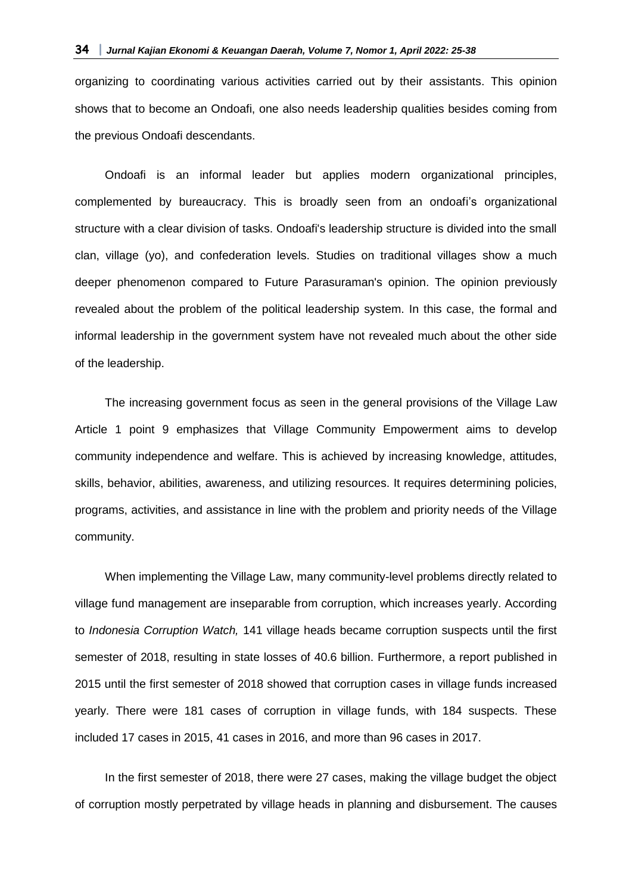organizing to coordinating various activities carried out by their assistants. This opinion shows that to become an Ondoafi, one also needs leadership qualities besides coming from the previous Ondoafi descendants.

Ondoafi is an informal leader but applies modern organizational principles, complemented by bureaucracy. This is broadly seen from an ondoafi's organizational structure with a clear division of tasks. Ondoafi's leadership structure is divided into the small clan, village (yo), and confederation levels. Studies on traditional villages show a much deeper phenomenon compared to Future Parasuraman's opinion. The opinion previously revealed about the problem of the political leadership system. In this case, the formal and informal leadership in the government system have not revealed much about the other side of the leadership.

The increasing government focus as seen in the general provisions of the Village Law Article 1 point 9 emphasizes that Village Community Empowerment aims to develop community independence and welfare. This is achieved by increasing knowledge, attitudes, skills, behavior, abilities, awareness, and utilizing resources. It requires determining policies, programs, activities, and assistance in line with the problem and priority needs of the Village community.

When implementing the Village Law, many community-level problems directly related to village fund management are inseparable from corruption, which increases yearly. According to *Indonesia Corruption Watch,* 141 village heads became corruption suspects until the first semester of 2018, resulting in state losses of 40.6 billion. Furthermore, a report published in 2015 until the first semester of 2018 showed that corruption cases in village funds increased yearly. There were 181 cases of corruption in village funds, with 184 suspects. These included 17 cases in 2015, 41 cases in 2016, and more than 96 cases in 2017.

In the first semester of 2018, there were 27 cases, making the village budget the object of corruption mostly perpetrated by village heads in planning and disbursement. The causes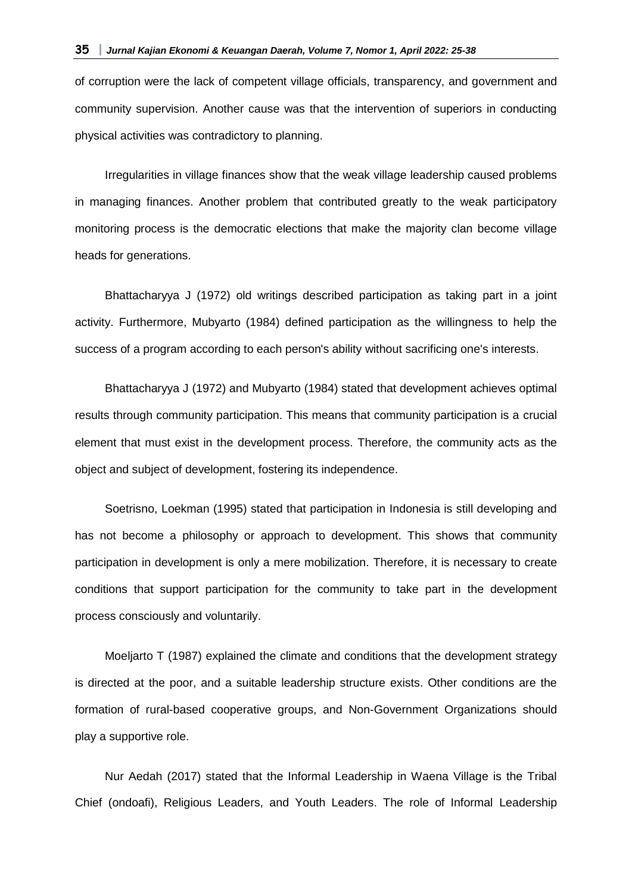of corruption were the lack of competent village officials, transparency, and government and community supervision. Another cause was that the intervention of superiors in conducting physical activities was contradictory to planning.

Irregularities in village finances show that the weak village leadership caused problems in managing finances. Another problem that contributed greatly to the weak participatory monitoring process is the democratic elections that make the majority clan become village heads for generations.

Bhattacharyya J (1972) old writings described participation as taking part in a joint activity. Furthermore, Mubyarto (1984) defined participation as the willingness to help the success of a program according to each person's ability without sacrificing one's interests.

Bhattacharyya J (1972) and Mubyarto (1984) stated that development achieves optimal results through community participation. This means that community participation is a crucial element that must exist in the development process. Therefore, the community acts as the object and subject of development, fostering its independence.

Soetrisno, Loekman (1995) stated that participation in Indonesia is still developing and has not become a philosophy or approach to development. This shows that community participation in development is only a mere mobilization. Therefore, it is necessary to create conditions that support participation for the community to take part in the development process consciously and voluntarily.

Moeljarto T (1987) explained the climate and conditions that the development strategy is directed at the poor, and a suitable leadership structure exists. Other conditions are the formation of rural-based cooperative groups, and Non-Government Organizations should play a supportive role.

Nur Aedah (2017) stated that the Informal Leadership in Waena Village is the Tribal Chief (ondoafi), Religious Leaders, and Youth Leaders. The role of Informal Leadership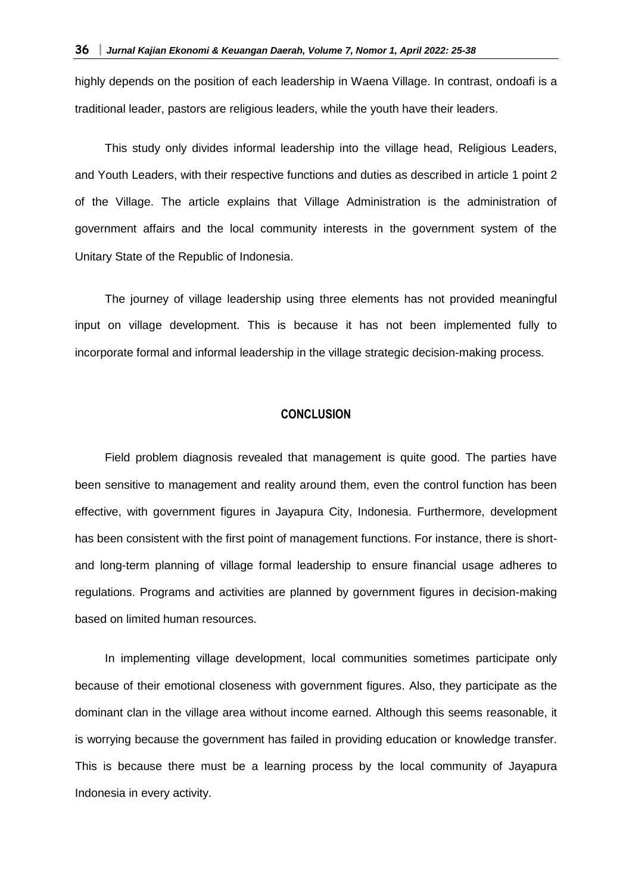highly depends on the position of each leadership in Waena Village. In contrast, ondoafi is a traditional leader, pastors are religious leaders, while the youth have their leaders.

This study only divides informal leadership into the village head, Religious Leaders, and Youth Leaders, with their respective functions and duties as described in article 1 point 2 of the Village. The article explains that Village Administration is the administration of government affairs and the local community interests in the government system of the Unitary State of the Republic of Indonesia.

The journey of village leadership using three elements has not provided meaningful input on village development. This is because it has not been implemented fully to incorporate formal and informal leadership in the village strategic decision-making process.

### **CONCLUSION**

Field problem diagnosis revealed that management is quite good. The parties have been sensitive to management and reality around them, even the control function has been effective, with government figures in Jayapura City, Indonesia. Furthermore, development has been consistent with the first point of management functions. For instance, there is shortand long-term planning of village formal leadership to ensure financial usage adheres to regulations. Programs and activities are planned by government figures in decision-making based on limited human resources.

In implementing village development, local communities sometimes participate only because of their emotional closeness with government figures. Also, they participate as the dominant clan in the village area without income earned. Although this seems reasonable, it is worrying because the government has failed in providing education or knowledge transfer. This is because there must be a learning process by the local community of Jayapura Indonesia in every activity.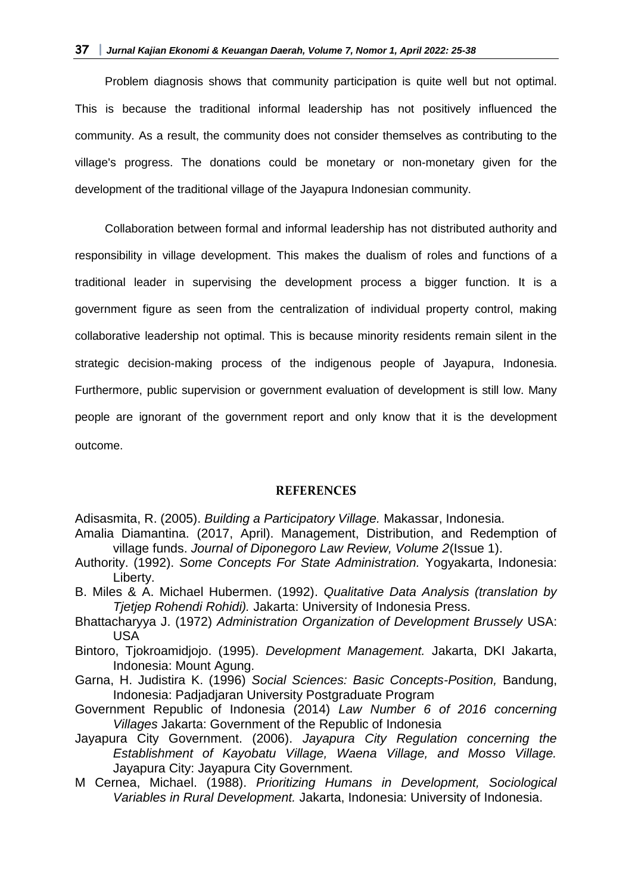Problem diagnosis shows that community participation is quite well but not optimal. This is because the traditional informal leadership has not positively influenced the community. As a result, the community does not consider themselves as contributing to the village's progress. The donations could be monetary or non-monetary given for the development of the traditional village of the Jayapura Indonesian community.

Collaboration between formal and informal leadership has not distributed authority and responsibility in village development. This makes the dualism of roles and functions of a traditional leader in supervising the development process a bigger function. It is a government figure as seen from the centralization of individual property control, making collaborative leadership not optimal. This is because minority residents remain silent in the strategic decision-making process of the indigenous people of Jayapura, Indonesia. Furthermore, public supervision or government evaluation of development is still low. Many people are ignorant of the government report and only know that it is the development outcome.

#### **REFERENCES**

- Adisasmita, R. (2005). *Building a Participatory Village.* Makassar, Indonesia.
- Amalia Diamantina. (2017, April). Management, Distribution, and Redemption of village funds. *Journal of Diponegoro Law Review, Volume 2*(Issue 1).
- Authority. (1992). *Some Concepts For State Administration.* Yogyakarta, Indonesia: Liberty.
- B. Miles & A. Michael Hubermen. (1992). *Qualitative Data Analysis (translation by Tjetjep Rohendi Rohidi).* Jakarta: University of Indonesia Press.
- Bhattacharyya J. (1972) *Administration Organization of Development Brussely* USA: USA
- Bintoro, Tjokroamidjojo. (1995). *Development Management.* Jakarta, DKI Jakarta, Indonesia: Mount Agung.
- Garna, H. Judistira K. (1996) *Social Sciences: Basic Concepts-Position,* Bandung, Indonesia: Padjadjaran University Postgraduate Program
- Government Republic of Indonesia (2014) *Law Number 6 of 2016 concerning Villages* Jakarta: Government of the Republic of Indonesia
- Jayapura City Government. (2006). *Jayapura City Regulation concerning the Establishment of Kayobatu Village, Waena Village, and Mosso Village.* Jayapura City: Jayapura City Government.
- M Cernea, Michael. (1988). *Prioritizing Humans in Development, Sociological Variables in Rural Development.* Jakarta, Indonesia: University of Indonesia.